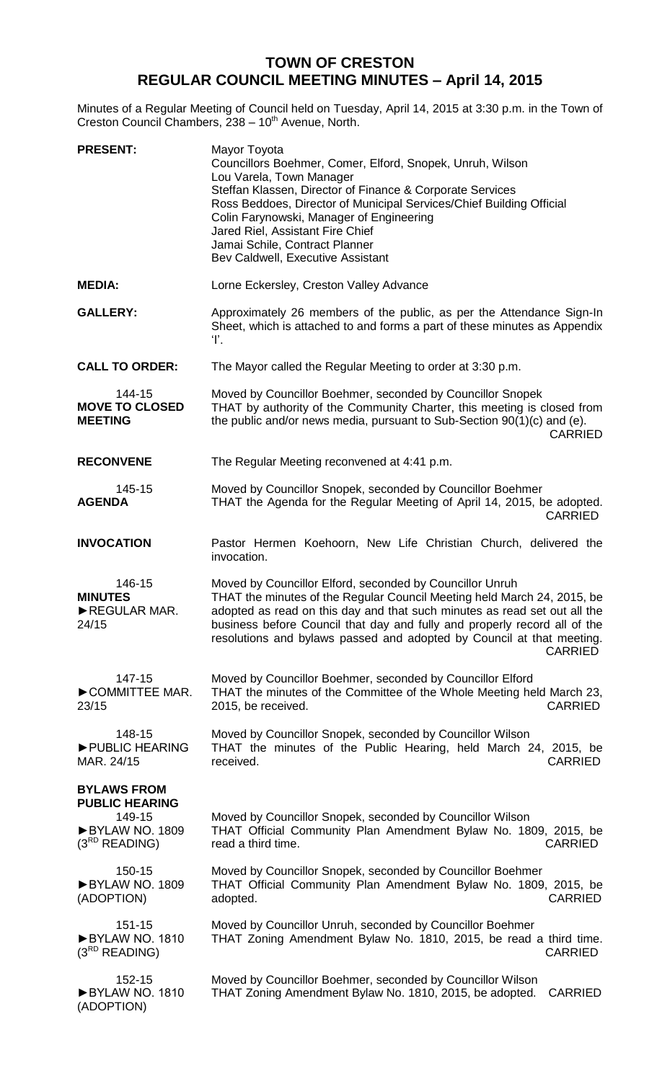## **TOWN OF CRESTON REGULAR COUNCIL MEETING MINUTES – April 14, 2015**

Minutes of a Regular Meeting of Council held on Tuesday, April 14, 2015 at 3:30 p.m. in the Town of Creston Council Chambers, 238 - 10<sup>th</sup> Avenue, North.

| <b>PRESENT:</b>                                                                               | Mayor Toyota<br>Councillors Boehmer, Comer, Elford, Snopek, Unruh, Wilson<br>Lou Varela, Town Manager<br>Steffan Klassen, Director of Finance & Corporate Services<br>Ross Beddoes, Director of Municipal Services/Chief Building Official<br>Colin Farynowski, Manager of Engineering<br>Jared Riel, Assistant Fire Chief<br>Jamai Schile, Contract Planner<br>Bev Caldwell, Executive Assistant |
|-----------------------------------------------------------------------------------------------|---------------------------------------------------------------------------------------------------------------------------------------------------------------------------------------------------------------------------------------------------------------------------------------------------------------------------------------------------------------------------------------------------|
| <b>MEDIA:</b>                                                                                 | Lorne Eckersley, Creston Valley Advance                                                                                                                                                                                                                                                                                                                                                           |
| <b>GALLERY:</b>                                                                               | Approximately 26 members of the public, as per the Attendance Sign-In<br>Sheet, which is attached to and forms a part of these minutes as Appendix<br>T.                                                                                                                                                                                                                                          |
| <b>CALL TO ORDER:</b>                                                                         | The Mayor called the Regular Meeting to order at 3:30 p.m.                                                                                                                                                                                                                                                                                                                                        |
| 144-15<br><b>MOVE TO CLOSED</b><br><b>MEETING</b>                                             | Moved by Councillor Boehmer, seconded by Councillor Snopek<br>THAT by authority of the Community Charter, this meeting is closed from<br>the public and/or news media, pursuant to Sub-Section 90(1)(c) and (e).<br><b>CARRIED</b>                                                                                                                                                                |
| <b>RECONVENE</b>                                                                              | The Regular Meeting reconvened at 4:41 p.m.                                                                                                                                                                                                                                                                                                                                                       |
| 145-15<br><b>AGENDA</b>                                                                       | Moved by Councillor Snopek, seconded by Councillor Boehmer<br>THAT the Agenda for the Regular Meeting of April 14, 2015, be adopted.<br><b>CARRIED</b>                                                                                                                                                                                                                                            |
| <b>INVOCATION</b>                                                                             | Pastor Hermen Koehoorn, New Life Christian Church, delivered the<br>invocation.                                                                                                                                                                                                                                                                                                                   |
| 146-15<br><b>MINUTES</b><br>REGULAR MAR.<br>24/15                                             | Moved by Councillor Elford, seconded by Councillor Unruh<br>THAT the minutes of the Regular Council Meeting held March 24, 2015, be<br>adopted as read on this day and that such minutes as read set out all the<br>business before Council that day and fully and properly record all of the<br>resolutions and bylaws passed and adopted by Council at that meeting.<br>CARRIED                 |
| 147-15<br>COMMITTEE MAR.<br>23/15                                                             | Moved by Councillor Boehmer, seconded by Councillor Elford<br>THAT the minutes of the Committee of the Whole Meeting held March 23,<br><b>CARRIED</b><br>2015, be received.                                                                                                                                                                                                                       |
| 148-15<br>PUBLIC HEARING<br>MAR. 24/15                                                        | Moved by Councillor Snopek, seconded by Councillor Wilson<br>THAT the minutes of the Public Hearing, held March 24, 2015, be<br><b>CARRIED</b><br>received.                                                                                                                                                                                                                                       |
| <b>BYLAWS FROM</b><br><b>PUBLIC HEARING</b><br>149-15<br>BYLAW NO. 1809<br>$(3^{RD}$ READING) | Moved by Councillor Snopek, seconded by Councillor Wilson<br>THAT Official Community Plan Amendment Bylaw No. 1809, 2015, be<br><b>CARRIED</b><br>read a third time.                                                                                                                                                                                                                              |
| 150-15<br>BYLAW NO. 1809<br>(ADOPTION)                                                        | Moved by Councillor Snopek, seconded by Councillor Boehmer<br>THAT Official Community Plan Amendment Bylaw No. 1809, 2015, be<br><b>CARRIED</b><br>adopted.                                                                                                                                                                                                                                       |
| 151-15<br>BYLAW NO. 1810<br>$(3^{RD}$ READING)                                                | Moved by Councillor Unruh, seconded by Councillor Boehmer<br>THAT Zoning Amendment Bylaw No. 1810, 2015, be read a third time.<br><b>CARRIED</b>                                                                                                                                                                                                                                                  |
| 152-15<br>BYLAW NO. 1810<br>(ADOPTION)                                                        | Moved by Councillor Boehmer, seconded by Councillor Wilson<br>THAT Zoning Amendment Bylaw No. 1810, 2015, be adopted.<br><b>CARRIED</b>                                                                                                                                                                                                                                                           |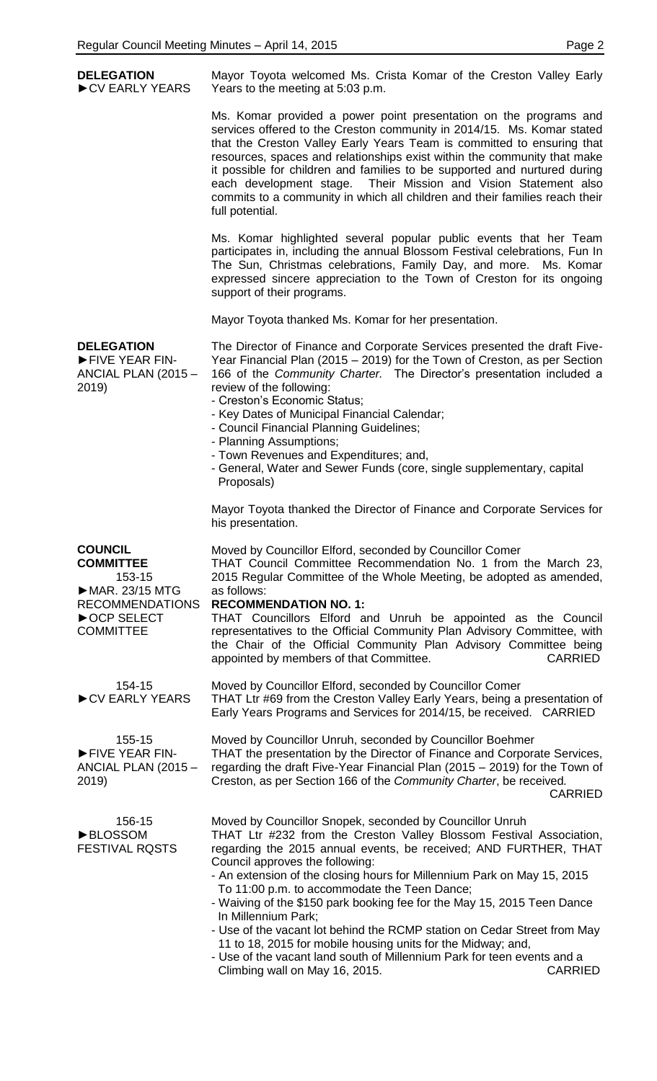| <b>DELEGATION</b><br>CV EARLY YEARS                                                                                          | Mayor Toyota welcomed Ms. Crista Komar of the Creston Valley Early<br>Years to the meeting at 5:03 p.m.                                                                                                                                                                                                                                                                                                                                                                                                                                                                                                                                                                                                                                        |
|------------------------------------------------------------------------------------------------------------------------------|------------------------------------------------------------------------------------------------------------------------------------------------------------------------------------------------------------------------------------------------------------------------------------------------------------------------------------------------------------------------------------------------------------------------------------------------------------------------------------------------------------------------------------------------------------------------------------------------------------------------------------------------------------------------------------------------------------------------------------------------|
|                                                                                                                              | Ms. Komar provided a power point presentation on the programs and<br>services offered to the Creston community in 2014/15. Ms. Komar stated<br>that the Creston Valley Early Years Team is committed to ensuring that<br>resources, spaces and relationships exist within the community that make<br>it possible for children and families to be supported and nurtured during<br>each development stage. Their Mission and Vision Statement also<br>commits to a community in which all children and their families reach their<br>full potential.                                                                                                                                                                                            |
|                                                                                                                              | Ms. Komar highlighted several popular public events that her Team<br>participates in, including the annual Blossom Festival celebrations, Fun In<br>The Sun, Christmas celebrations, Family Day, and more. Ms. Komar<br>expressed sincere appreciation to the Town of Creston for its ongoing<br>support of their programs.                                                                                                                                                                                                                                                                                                                                                                                                                    |
|                                                                                                                              | Mayor Toyota thanked Ms. Komar for her presentation.                                                                                                                                                                                                                                                                                                                                                                                                                                                                                                                                                                                                                                                                                           |
| <b>DELEGATION</b><br>FIVE YEAR FIN-<br>ANCIAL PLAN (2015 -<br>2019)                                                          | The Director of Finance and Corporate Services presented the draft Five-<br>Year Financial Plan (2015 – 2019) for the Town of Creston, as per Section<br>166 of the Community Charter. The Director's presentation included a<br>review of the following:<br>- Creston's Economic Status;<br>- Key Dates of Municipal Financial Calendar;<br>- Council Financial Planning Guidelines;<br>- Planning Assumptions;<br>- Town Revenues and Expenditures; and,<br>- General, Water and Sewer Funds (core, single supplementary, capital<br>Proposals)                                                                                                                                                                                              |
|                                                                                                                              | Mayor Toyota thanked the Director of Finance and Corporate Services for<br>his presentation.                                                                                                                                                                                                                                                                                                                                                                                                                                                                                                                                                                                                                                                   |
| <b>COUNCIL</b><br><b>COMMITTEE</b><br>153-15<br>MAR. 23/15 MTG<br><b>RECOMMENDATIONS</b><br>▶ OCP SELECT<br><b>COMMITTEE</b> | Moved by Councillor Elford, seconded by Councillor Comer<br>THAT Council Committee Recommendation No. 1 from the March 23,<br>2015 Regular Committee of the Whole Meeting, be adopted as amended,<br>as follows:<br><b>RECOMMENDATION NO. 1:</b><br>THAT Councillors Elford and Unruh be appointed as the Council<br>representatives to the Official Community Plan Advisory Committee, with<br>the Chair of the Official Community Plan Advisory Committee being<br><b>CARRIED</b><br>appointed by members of that Committee.                                                                                                                                                                                                                 |
| 154-15<br>CV EARLY YEARS                                                                                                     | Moved by Councillor Elford, seconded by Councillor Comer<br>THAT Ltr #69 from the Creston Valley Early Years, being a presentation of<br>Early Years Programs and Services for 2014/15, be received. CARRIED                                                                                                                                                                                                                                                                                                                                                                                                                                                                                                                                   |
| 155-15<br>FIVE YEAR FIN-<br>ANCIAL PLAN (2015 -<br>2019)                                                                     | Moved by Councillor Unruh, seconded by Councillor Boehmer<br>THAT the presentation by the Director of Finance and Corporate Services,<br>regarding the draft Five-Year Financial Plan (2015 – 2019) for the Town of<br>Creston, as per Section 166 of the Community Charter, be received.<br><b>CARRIED</b>                                                                                                                                                                                                                                                                                                                                                                                                                                    |
| 156-15<br><b>BLOSSOM</b><br><b>FESTIVAL ROSTS</b>                                                                            | Moved by Councillor Snopek, seconded by Councillor Unruh<br>THAT Ltr #232 from the Creston Valley Blossom Festival Association,<br>regarding the 2015 annual events, be received; AND FURTHER, THAT<br>Council approves the following:<br>- An extension of the closing hours for Millennium Park on May 15, 2015<br>To 11:00 p.m. to accommodate the Teen Dance;<br>- Waiving of the \$150 park booking fee for the May 15, 2015 Teen Dance<br>In Millennium Park;<br>- Use of the vacant lot behind the RCMP station on Cedar Street from May<br>11 to 18, 2015 for mobile housing units for the Midway; and,<br>- Use of the vacant land south of Millennium Park for teen events and a<br>Climbing wall on May 16, 2015.<br><b>CARRIED</b> |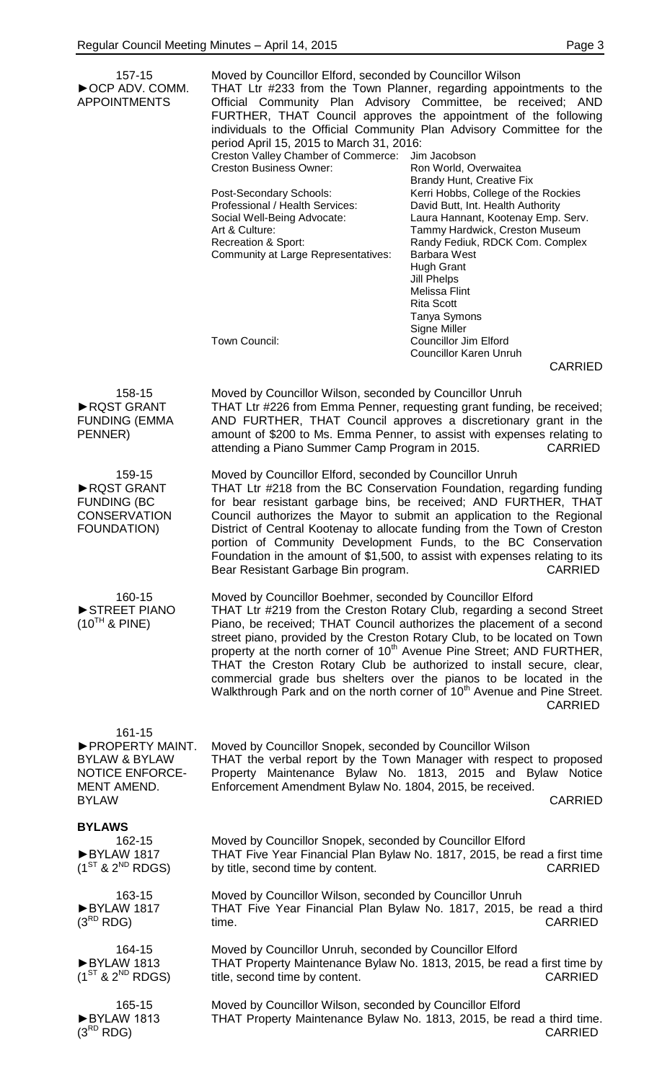| 157-15<br>▶ OCP ADV. COMM.<br><b>APPOINTMENTS</b>                                                              | Moved by Councillor Elford, seconded by Councillor Wilson<br>period April 15, 2015 to March 31, 2016:<br>Creston Valley Chamber of Commerce:<br><b>Creston Business Owner:</b><br>Post-Secondary Schools:<br>Professional / Health Services:<br>Social Well-Being Advocate:<br>Art & Culture:<br>Recreation & Sport:<br>Community at Large Representatives: | THAT Ltr #233 from the Town Planner, regarding appointments to the<br>Official Community Plan Advisory Committee, be received; AND<br>FURTHER, THAT Council approves the appointment of the following<br>individuals to the Official Community Plan Advisory Committee for the<br>Jim Jacobson<br>Ron World, Overwaitea<br><b>Brandy Hunt, Creative Fix</b><br>Kerri Hobbs, College of the Rockies<br>David Butt, Int. Health Authority<br>Laura Hannant, Kootenay Emp. Serv.<br>Tammy Hardwick, Creston Museum<br>Randy Fediuk, RDCK Com. Complex<br><b>Barbara West</b><br><b>Hugh Grant</b><br><b>Jill Phelps</b><br>Melissa Flint<br><b>Rita Scott</b><br>Tanya Symons<br>Signe Miller |
|----------------------------------------------------------------------------------------------------------------|-------------------------------------------------------------------------------------------------------------------------------------------------------------------------------------------------------------------------------------------------------------------------------------------------------------------------------------------------------------|--------------------------------------------------------------------------------------------------------------------------------------------------------------------------------------------------------------------------------------------------------------------------------------------------------------------------------------------------------------------------------------------------------------------------------------------------------------------------------------------------------------------------------------------------------------------------------------------------------------------------------------------------------------------------------------------|
|                                                                                                                | Town Council:                                                                                                                                                                                                                                                                                                                                               | <b>Councillor Jim Elford</b><br><b>Councillor Karen Unruh</b><br><b>CARRIED</b>                                                                                                                                                                                                                                                                                                                                                                                                                                                                                                                                                                                                            |
| 158-15<br>RQST GRANT<br><b>FUNDING (EMMA</b><br>PENNER)                                                        | Moved by Councillor Wilson, seconded by Councillor Unruh<br>attending a Piano Summer Camp Program in 2015.                                                                                                                                                                                                                                                  | THAT Ltr #226 from Emma Penner, requesting grant funding, be received;<br>AND FURTHER, THAT Council approves a discretionary grant in the<br>amount of \$200 to Ms. Emma Penner, to assist with expenses relating to<br><b>CARRIED</b>                                                                                                                                                                                                                                                                                                                                                                                                                                                     |
| 159-15<br>RQST GRANT<br><b>FUNDING (BC</b><br><b>CONSERVATION</b><br>FOUNDATION)                               | Moved by Councillor Elford, seconded by Councillor Unruh<br>Bear Resistant Garbage Bin program.                                                                                                                                                                                                                                                             | THAT Ltr #218 from the BC Conservation Foundation, regarding funding<br>for bear resistant garbage bins, be received; AND FURTHER, THAT<br>Council authorizes the Mayor to submit an application to the Regional<br>District of Central Kootenay to allocate funding from the Town of Creston<br>portion of Community Development Funds, to the BC Conservation<br>Foundation in the amount of \$1,500, to assist with expenses relating to its<br><b>CARRIED</b>                                                                                                                                                                                                                          |
| 160-15<br>STREET PIANO<br>$(10^{TH}$ & PINE)                                                                   | Moved by Councillor Boehmer, seconded by Councillor Elford                                                                                                                                                                                                                                                                                                  | THAT Ltr #219 from the Creston Rotary Club, regarding a second Street<br>Piano, be received; THAT Council authorizes the placement of a second<br>street piano, provided by the Creston Rotary Club, to be located on Town<br>property at the north corner of 10 <sup>th</sup> Avenue Pine Street; AND FURTHER,<br>THAT the Creston Rotary Club be authorized to install secure, clear,<br>commercial grade bus shelters over the pianos to be located in the<br>Walkthrough Park and on the north corner of 10 <sup>th</sup> Avenue and Pine Street.<br><b>CARRIED</b>                                                                                                                    |
| 161-15<br>PROPERTY MAINT.<br><b>BYLAW &amp; BYLAW</b><br><b>NOTICE ENFORCE-</b><br>MENT AMEND.<br><b>BYLAW</b> | Moved by Councillor Snopek, seconded by Councillor Wilson<br>Enforcement Amendment Bylaw No. 1804, 2015, be received.                                                                                                                                                                                                                                       | THAT the verbal report by the Town Manager with respect to proposed<br>Property Maintenance Bylaw No. 1813, 2015 and Bylaw Notice<br><b>CARRIED</b>                                                                                                                                                                                                                                                                                                                                                                                                                                                                                                                                        |
| <b>BYLAWS</b><br>162-15<br>BYLAW 1817<br>$(1^{ST}$ & $2^{ND}$ RDGS)                                            | Moved by Councillor Snopek, seconded by Councillor Elford<br>by title, second time by content.                                                                                                                                                                                                                                                              | THAT Five Year Financial Plan Bylaw No. 1817, 2015, be read a first time<br><b>CARRIED</b>                                                                                                                                                                                                                                                                                                                                                                                                                                                                                                                                                                                                 |
| 163-15<br>BYLAW 1817<br>$(3^{RD}$ RDG)                                                                         | Moved by Councillor Wilson, seconded by Councillor Unruh<br>time.                                                                                                                                                                                                                                                                                           | THAT Five Year Financial Plan Bylaw No. 1817, 2015, be read a third<br><b>CARRIED</b>                                                                                                                                                                                                                                                                                                                                                                                                                                                                                                                                                                                                      |
| 164-15<br>BYLAW 1813<br>$(1^{ST}$ & $2^{ND}$ RDGS)                                                             | Moved by Councillor Unruh, seconded by Councillor Elford<br>title, second time by content.                                                                                                                                                                                                                                                                  | THAT Property Maintenance Bylaw No. 1813, 2015, be read a first time by<br><b>CARRIED</b>                                                                                                                                                                                                                                                                                                                                                                                                                                                                                                                                                                                                  |
| 165-15<br>BYLAW 1813<br>$(3^{RD}$ RDG)                                                                         | Moved by Councillor Wilson, seconded by Councillor Elford                                                                                                                                                                                                                                                                                                   | THAT Property Maintenance Bylaw No. 1813, 2015, be read a third time.<br>CARRIED                                                                                                                                                                                                                                                                                                                                                                                                                                                                                                                                                                                                           |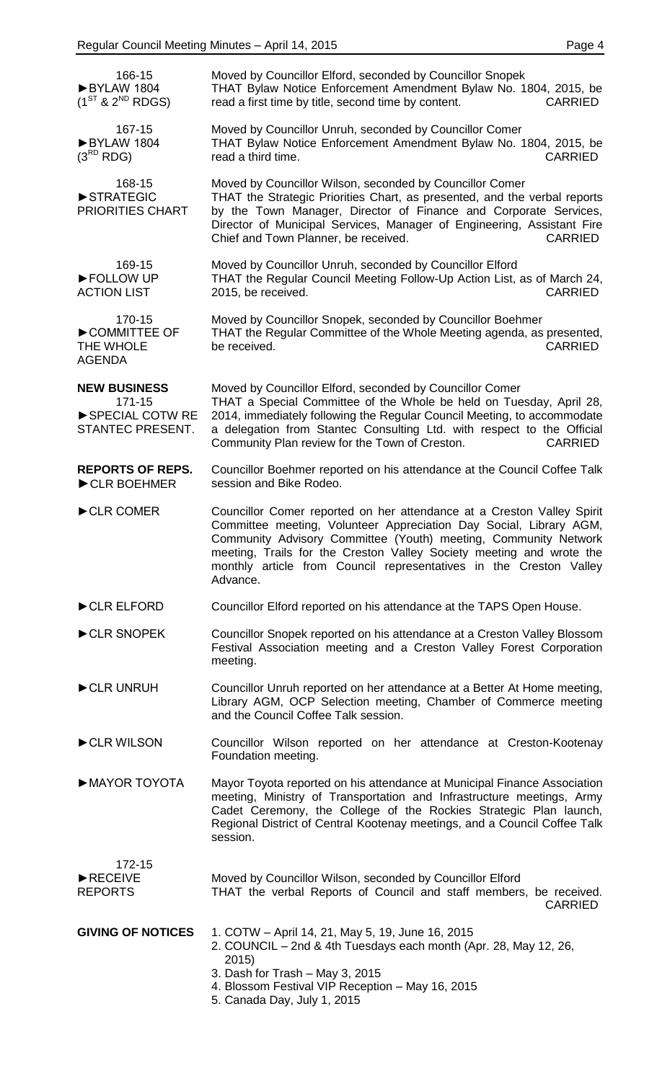| 166-15<br>BYLAW 1804<br>$(1^{ST}$ & $2^{ND}$ RDGS)   | Moved by Councillor Elford, seconded by Councillor Snopek<br>THAT Bylaw Notice Enforcement Amendment Bylaw No. 1804, 2015, be<br>read a first time by title, second time by content.<br><b>CARRIED</b>                                                                                                                                                                    |
|------------------------------------------------------|---------------------------------------------------------------------------------------------------------------------------------------------------------------------------------------------------------------------------------------------------------------------------------------------------------------------------------------------------------------------------|
| 167-15<br>BYLAW 1804<br>$(3^{RD}$ RDG)               | Moved by Councillor Unruh, seconded by Councillor Comer<br>THAT Bylaw Notice Enforcement Amendment Bylaw No. 1804, 2015, be<br>read a third time.<br><b>CARRIED</b>                                                                                                                                                                                                       |
| 168-15<br>STRATEGIC<br>PRIORITIES CHART              | Moved by Councillor Wilson, seconded by Councillor Comer<br>THAT the Strategic Priorities Chart, as presented, and the verbal reports<br>by the Town Manager, Director of Finance and Corporate Services,<br>Director of Municipal Services, Manager of Engineering, Assistant Fire<br>Chief and Town Planner, be received.<br><b>CARRIED</b>                             |
| 169-15<br>FOLLOW UP<br><b>ACTION LIST</b>            | Moved by Councillor Unruh, seconded by Councillor Elford<br>THAT the Regular Council Meeting Follow-Up Action List, as of March 24,<br>2015, be received.<br><b>CARRIED</b>                                                                                                                                                                                               |
| 170-15<br>COMMITTEE OF<br>THE WHOLE<br><b>AGENDA</b> | Moved by Councillor Snopek, seconded by Councillor Boehmer<br>THAT the Regular Committee of the Whole Meeting agenda, as presented,<br>be received.<br><b>CARRIED</b>                                                                                                                                                                                                     |
| <b>NEW BUSINESS</b>                                  | Moved by Councillor Elford, seconded by Councillor Comer                                                                                                                                                                                                                                                                                                                  |
| 171-15<br>SPECIAL COTW RE<br>STANTEC PRESENT.        | THAT a Special Committee of the Whole be held on Tuesday, April 28,<br>2014, immediately following the Regular Council Meeting, to accommodate<br>a delegation from Stantec Consulting Ltd. with respect to the Official<br>Community Plan review for the Town of Creston.<br><b>CARRIED</b>                                                                              |
| <b>REPORTS OF REPS.</b><br>CLR BOEHMER               | Councillor Boehmer reported on his attendance at the Council Coffee Talk<br>session and Bike Rodeo.                                                                                                                                                                                                                                                                       |
| CLR COMER                                            | Councillor Comer reported on her attendance at a Creston Valley Spirit<br>Committee meeting, Volunteer Appreciation Day Social, Library AGM,<br>Community Advisory Committee (Youth) meeting, Community Network<br>meeting, Trails for the Creston Valley Society meeting and wrote the<br>monthly article from Council representatives in the Creston Valley<br>Advance. |
| CLR ELFORD                                           | Councillor Elford reported on his attendance at the TAPS Open House.                                                                                                                                                                                                                                                                                                      |
| CLR SNOPEK                                           | Councillor Snopek reported on his attendance at a Creston Valley Blossom<br>Festival Association meeting and a Creston Valley Forest Corporation<br>meeting.                                                                                                                                                                                                              |
| CLR UNRUH                                            | Councillor Unruh reported on her attendance at a Better At Home meeting,<br>Library AGM, OCP Selection meeting, Chamber of Commerce meeting<br>and the Council Coffee Talk session.                                                                                                                                                                                       |
| CLR WILSON                                           | Councillor Wilson reported on her attendance at Creston-Kootenay<br>Foundation meeting.                                                                                                                                                                                                                                                                                   |
| MAYOR TOYOTA                                         | Mayor Toyota reported on his attendance at Municipal Finance Association<br>meeting, Ministry of Transportation and Infrastructure meetings, Army<br>Cadet Ceremony, the College of the Rockies Strategic Plan launch,<br>Regional District of Central Kootenay meetings, and a Council Coffee Talk<br>session.                                                           |
| 172-15<br>RECEIVE<br><b>REPORTS</b>                  | Moved by Councillor Wilson, seconded by Councillor Elford<br>THAT the verbal Reports of Council and staff members, be received.<br><b>CARRIED</b>                                                                                                                                                                                                                         |
| <b>GIVING OF NOTICES</b>                             | 1. COTW - April 14, 21, May 5, 19, June 16, 2015<br>2. COUNCIL - 2nd & 4th Tuesdays each month (Apr. 28, May 12, 26,<br>2015)<br>3. Dash for Trash - May 3, 2015<br>4. Blossom Festival VIP Reception - May 16, 2015<br>5. Canada Day, July 1, 2015                                                                                                                       |
|                                                      |                                                                                                                                                                                                                                                                                                                                                                           |